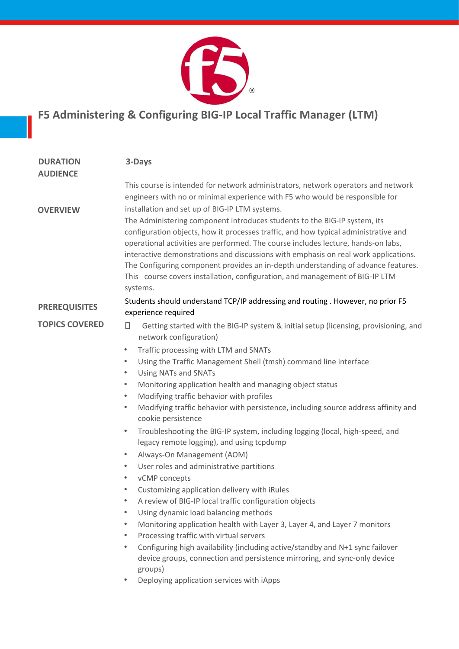

## **F5 Administering & Configuring BIG-IP Local Traffic Manager (LTM)**

| <b>DURATION</b><br><b>AUDIENCE</b> | 3-Days                                                                                                                                                                                                                                                                                                                                                                                                                                                                                                                                                                          |
|------------------------------------|---------------------------------------------------------------------------------------------------------------------------------------------------------------------------------------------------------------------------------------------------------------------------------------------------------------------------------------------------------------------------------------------------------------------------------------------------------------------------------------------------------------------------------------------------------------------------------|
|                                    | This course is intended for network administrators, network operators and network<br>engineers with no or minimal experience with F5 who would be responsible for                                                                                                                                                                                                                                                                                                                                                                                                               |
| <b>OVERVIEW</b>                    | installation and set up of BIG-IP LTM systems.<br>The Administering component introduces students to the BIG-IP system, its<br>configuration objects, how it processes traffic, and how typical administrative and<br>operational activities are performed. The course includes lecture, hands-on labs,<br>interactive demonstrations and discussions with emphasis on real work applications.<br>The Configuring component provides an in-depth understanding of advance features.<br>This course covers installation, configuration, and management of BIG-IP LTM<br>systems. |
| <b>PREREQUISITES</b>               | Students should understand TCP/IP addressing and routing . However, no prior F5<br>experience required                                                                                                                                                                                                                                                                                                                                                                                                                                                                          |
| <b>TOPICS COVERED</b>              | $\Box$<br>Getting started with the BIG-IP system & initial setup (licensing, provisioning, and<br>network configuration)                                                                                                                                                                                                                                                                                                                                                                                                                                                        |
|                                    | Traffic processing with LTM and SNATs<br>$\bullet$                                                                                                                                                                                                                                                                                                                                                                                                                                                                                                                              |
|                                    | Using the Traffic Management Shell (tmsh) command line interface<br>$\bullet$                                                                                                                                                                                                                                                                                                                                                                                                                                                                                                   |
|                                    | <b>Using NATs and SNATs</b><br>$\bullet$                                                                                                                                                                                                                                                                                                                                                                                                                                                                                                                                        |
|                                    | Monitoring application health and managing object status<br>$\bullet$                                                                                                                                                                                                                                                                                                                                                                                                                                                                                                           |
|                                    | Modifying traffic behavior with profiles<br>$\bullet$                                                                                                                                                                                                                                                                                                                                                                                                                                                                                                                           |
|                                    | Modifying traffic behavior with persistence, including source address affinity and<br>$\bullet$<br>cookie persistence                                                                                                                                                                                                                                                                                                                                                                                                                                                           |
|                                    | Troubleshooting the BIG-IP system, including logging (local, high-speed, and<br>$\bullet$<br>legacy remote logging), and using tcpdump                                                                                                                                                                                                                                                                                                                                                                                                                                          |
|                                    | Always-On Management (AOM)<br>$\bullet$                                                                                                                                                                                                                                                                                                                                                                                                                                                                                                                                         |
|                                    | User roles and administrative partitions<br>$\bullet$                                                                                                                                                                                                                                                                                                                                                                                                                                                                                                                           |
|                                    | vCMP concepts<br>$\bullet$                                                                                                                                                                                                                                                                                                                                                                                                                                                                                                                                                      |
|                                    | Customizing application delivery with iRules<br>$\bullet$                                                                                                                                                                                                                                                                                                                                                                                                                                                                                                                       |
|                                    | A review of BIG-IP local traffic configuration objects                                                                                                                                                                                                                                                                                                                                                                                                                                                                                                                          |
|                                    | Using dynamic load balancing methods<br>$\bullet$                                                                                                                                                                                                                                                                                                                                                                                                                                                                                                                               |
|                                    | Monitoring application health with Layer 3, Layer 4, and Layer 7 monitors<br>$\bullet$                                                                                                                                                                                                                                                                                                                                                                                                                                                                                          |
|                                    | Processing traffic with virtual servers<br>$\bullet$                                                                                                                                                                                                                                                                                                                                                                                                                                                                                                                            |
|                                    | Configuring high availability (including active/standby and N+1 sync failover<br>$\bullet$<br>device groups, connection and persistence mirroring, and sync-only device<br>groups)                                                                                                                                                                                                                                                                                                                                                                                              |
|                                    | Deploying application services with iApps<br>٠                                                                                                                                                                                                                                                                                                                                                                                                                                                                                                                                  |